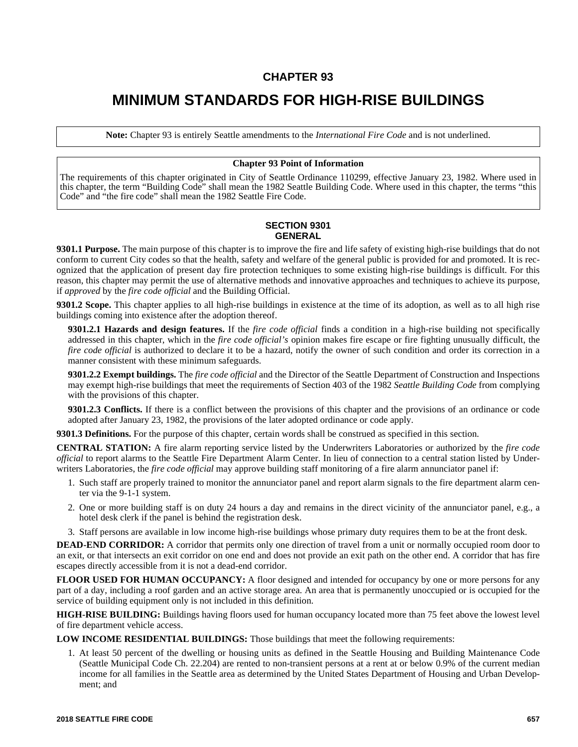## **CHAPTER 93**

# **MINIMUM STANDARDS FOR HIGH-RISE BUILDINGS**

**Note:** Chapter 93 is entirely Seattle amendments to the *International Fire Code* and is not underlined.

#### **Chapter 93 Point of Information**

The requirements of this chapter originated in City of Seattle Ordinance 110299, effective January 23, 1982. Where used in this chapter, the term "Building Code" shall mean the 1982 Seattle Building Code. Where used in this chapter, the terms "this Code" and "the fire code" shall mean the 1982 Seattle Fire Code.

## **SECTION 9301 GENERAL**

**9301.1 Purpose.** The main purpose of this chapter is to improve the fire and life safety of existing high-rise buildings that do not conform to current City codes so that the health, safety and welfare of the general public is provided for and promoted. It is recognized that the application of present day fire protection techniques to some existing high-rise buildings is difficult. For this reason, this chapter may permit the use of alternative methods and innovative approaches and techniques to achieve its purpose, if *approved* by the *fire code official* and the Building Official.

**9301.2 Scope.** This chapter applies to all high-rise buildings in existence at the time of its adoption, as well as to all high rise buildings coming into existence after the adoption thereof.

**9301.2.1 Hazards and design features.** If the *fire code official* finds a condition in a high-rise building not specifically addressed in this chapter, which in the *fire code official's* opinion makes fire escape or fire fighting unusually difficult, the *fire code official* is authorized to declare it to be a hazard, notify the owner of such condition and order its correction in a manner consistent with these minimum safeguards.

**9301.2.2 Exempt buildings.** The *fire code official* and the Director of the Seattle Department of Construction and Inspections may exempt high-rise buildings that meet the requirements of Section 403 of the 1982 *Seattle Building Code* from complying with the provisions of this chapter.

**9301.2.3 Conflicts.** If there is a conflict between the provisions of this chapter and the provisions of an ordinance or code adopted after January 23, 1982, the provisions of the later adopted ordinance or code apply.

**9301.3 Definitions.** For the purpose of this chapter, certain words shall be construed as specified in this section.

**CENTRAL STATION:** A fire alarm reporting service listed by the Underwriters Laboratories or authorized by the *fire code official* to report alarms to the Seattle Fire Department Alarm Center. In lieu of connection to a central station listed by Underwriters Laboratories, the *fire code official* may approve building staff monitoring of a fire alarm annunciator panel if:

- 1. Such staff are properly trained to monitor the annunciator panel and report alarm signals to the fire department alarm center via the 9-1-1 system.
- 2. One or more building staff is on duty 24 hours a day and remains in the direct vicinity of the annunciator panel, e.g., a hotel desk clerk if the panel is behind the registration desk.
- 3. Staff persons are available in low income high-rise buildings whose primary duty requires them to be at the front desk.

**DEAD-END CORRIDOR:** A corridor that permits only one direction of travel from a unit or normally occupied room door to an exit, or that intersects an exit corridor on one end and does not provide an exit path on the other end. A corridor that has fire escapes directly accessible from it is not a dead-end corridor.

**FLOOR USED FOR HUMAN OCCUPANCY:** A floor designed and intended for occupancy by one or more persons for any part of a day, including a roof garden and an active storage area. An area that is permanently unoccupied or is occupied for the service of building equipment only is not included in this definition.

**HIGH-RISE BUILDING:** Buildings having floors used for human occupancy located more than 75 feet above the lowest level of fire department vehicle access.

**LOW INCOME RESIDENTIAL BUILDINGS:** Those buildings that meet the following requirements:

1. At least 50 percent of the dwelling or housing units as defined in the Seattle Housing and Building Maintenance Code (Seattle Municipal Code Ch. 22.204) are rented to non-transient persons at a rent at or below 0.9% of the current median income for all families in the Seattle area as determined by the United States Department of Housing and Urban Development; and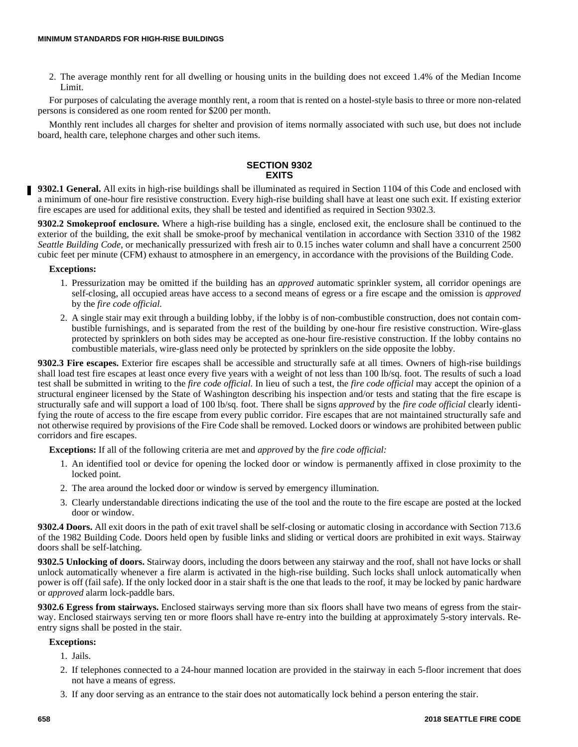2. The average monthly rent for all dwelling or housing units in the building does not exceed 1.4% of the Median Income Limit.

For purposes of calculating the average monthly rent, a room that is rented on a hostel-style basis to three or more non-related persons is considered as one room rented for \$200 per month.

Monthly rent includes all charges for shelter and provision of items normally associated with such use, but does not include board, health care, telephone charges and other such items.

## **SECTION 9302 EXITS**

**9302.1 General.** All exits in high-rise buildings shall be illuminated as required in Section 1104 of this Code and enclosed with a minimum of one-hour fire resistive construction. Every high-rise building shall have at least one such exit. If existing exterior fire escapes are used for additional exits, they shall be tested and identified as required in Section 9302.3.

**9302.2 Smokeproof enclosure.** Where a high-rise building has a single, enclosed exit, the enclosure shall be continued to the exterior of the building, the exit shall be smoke-proof by mechanical ventilation in accordance with Section 3310 of the 1982 *Seattle Building Code,* or mechanically pressurized with fresh air to 0.15 inches water column and shall have a concurrent 2500 cubic feet per minute (CFM) exhaust to atmosphere in an emergency, in accordance with the provisions of the Building Code.

#### **Exceptions:**

- 1. Pressurization may be omitted if the building has an *approved* automatic sprinkler system, all corridor openings are self-closing, all occupied areas have access to a second means of egress or a fire escape and the omission is *approved* by the *fire code official.*
- 2. A single stair may exit through a building lobby, if the lobby is of non-combustible construction, does not contain combustible furnishings, and is separated from the rest of the building by one-hour fire resistive construction. Wire-glass protected by sprinklers on both sides may be accepted as one-hour fire-resistive construction. If the lobby contains no combustible materials, wire-glass need only be protected by sprinklers on the side opposite the lobby.

**9302.3 Fire escapes.** Exterior fire escapes shall be accessible and structurally safe at all times. Owners of high-rise buildings shall load test fire escapes at least once every five years with a weight of not less than 100 lb/sq. foot. The results of such a load test shall be submitted in writing to the *fire code official.* In lieu of such a test, the *fire code official* may accept the opinion of a structural engineer licensed by the State of Washington describing his inspection and/or tests and stating that the fire escape is structurally safe and will support a load of 100 lb/sq. foot. There shall be signs *approved* by the *fire code official* clearly identifying the route of access to the fire escape from every public corridor. Fire escapes that are not maintained structurally safe and not otherwise required by provisions of the Fire Code shall be removed. Locked doors or windows are prohibited between public corridors and fire escapes.

**Exceptions:** If all of the following criteria are met and *approved* by the *fire code official:*

- 1. An identified tool or device for opening the locked door or window is permanently affixed in close proximity to the locked point.
- 2. The area around the locked door or window is served by emergency illumination.
- 3. Clearly understandable directions indicating the use of the tool and the route to the fire escape are posted at the locked door or window.

**9302.4 Doors.** All exit doors in the path of exit travel shall be self-closing or automatic closing in accordance with Section 713.6 of the 1982 Building Code. Doors held open by fusible links and sliding or vertical doors are prohibited in exit ways. Stairway doors shall be self-latching.

**9302.5 Unlocking of doors.** Stairway doors, including the doors between any stairway and the roof, shall not have locks or shall unlock automatically whenever a fire alarm is activated in the high-rise building. Such locks shall unlock automatically when power is off (fail safe). If the only locked door in a stair shaft is the one that leads to the roof, it may be locked by panic hardware or *approved* alarm lock-paddle bars.

**9302.6 Egress from stairways.** Enclosed stairways serving more than six floors shall have two means of egress from the stairway. Enclosed stairways serving ten or more floors shall have re-entry into the building at approximately 5-story intervals. Reentry signs shall be posted in the stair.

#### **Exceptions:**

- 1. Jails.
- 2. If telephones connected to a 24-hour manned location are provided in the stairway in each 5-floor increment that does not have a means of egress.
- 3. If any door serving as an entrance to the stair does not automatically lock behind a person entering the stair.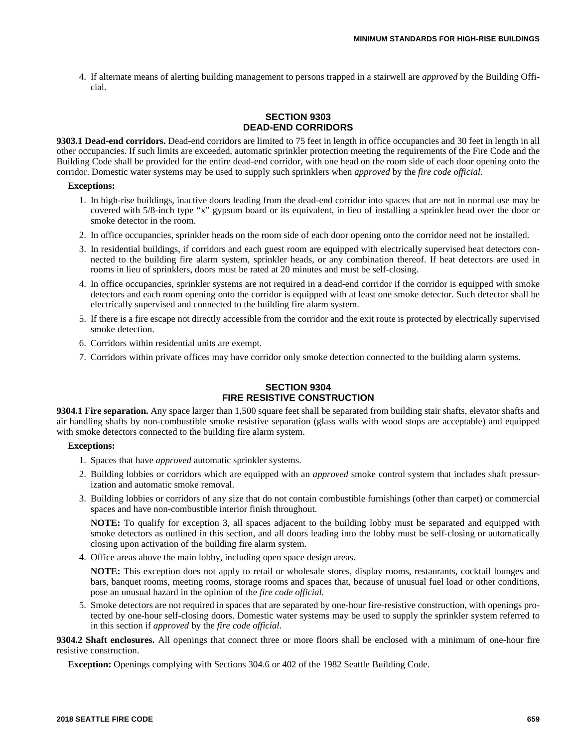4. If alternate means of alerting building management to persons trapped in a stairwell are *approved* by the Building Official.

## **SECTION 9303 DEAD-END CORRIDORS**

**9303.1 Dead-end corridors.** Dead-end corridors are limited to 75 feet in length in office occupancies and 30 feet in length in all other occupancies. If such limits are exceeded, automatic sprinkler protection meeting the requirements of the Fire Code and the Building Code shall be provided for the entire dead-end corridor, with one head on the room side of each door opening onto the corridor. Domestic water systems may be used to supply such sprinklers when *approved* by the *fire code official.*

#### **Exceptions:**

- 1. In high-rise buildings, inactive doors leading from the dead-end corridor into spaces that are not in normal use may be covered with 5/8-inch type "x" gypsum board or its equivalent, in lieu of installing a sprinkler head over the door or smoke detector in the room.
- 2. In office occupancies, sprinkler heads on the room side of each door opening onto the corridor need not be installed.
- 3. In residential buildings, if corridors and each guest room are equipped with electrically supervised heat detectors connected to the building fire alarm system, sprinkler heads, or any combination thereof. If heat detectors are used in rooms in lieu of sprinklers, doors must be rated at 20 minutes and must be self-closing.
- 4. In office occupancies, sprinkler systems are not required in a dead-end corridor if the corridor is equipped with smoke detectors and each room opening onto the corridor is equipped with at least one smoke detector. Such detector shall be electrically supervised and connected to the building fire alarm system.
- 5. If there is a fire escape not directly accessible from the corridor and the exit route is protected by electrically supervised smoke detection.
- 6. Corridors within residential units are exempt.
- 7. Corridors within private offices may have corridor only smoke detection connected to the building alarm systems.

## **SECTION 9304 FIRE RESISTIVE CONSTRUCTION**

**9304.1 Fire separation.** Any space larger than 1,500 square feet shall be separated from building stair shafts, elevator shafts and air handling shafts by non-combustible smoke resistive separation (glass walls with wood stops are acceptable) and equipped with smoke detectors connected to the building fire alarm system.

#### **Exceptions:**

- 1. Spaces that have *approved* automatic sprinkler systems.
- 2. Building lobbies or corridors which are equipped with an *approved* smoke control system that includes shaft pressurization and automatic smoke removal.
- 3. Building lobbies or corridors of any size that do not contain combustible furnishings (other than carpet) or commercial spaces and have non-combustible interior finish throughout.

**NOTE:** To qualify for exception 3, all spaces adjacent to the building lobby must be separated and equipped with smoke detectors as outlined in this section, and all doors leading into the lobby must be self-closing or automatically closing upon activation of the building fire alarm system.

4. Office areas above the main lobby, including open space design areas.

**NOTE:** This exception does not apply to retail or wholesale stores, display rooms, restaurants, cocktail lounges and bars, banquet rooms, meeting rooms, storage rooms and spaces that, because of unusual fuel load or other conditions, pose an unusual hazard in the opinion of the *fire code official.*

5. Smoke detectors are not required in spaces that are separated by one-hour fire-resistive construction, with openings protected by one-hour self-closing doors. Domestic water systems may be used to supply the sprinkler system referred to in this section if *approved* by the *fire code official.*

**9304.2 Shaft enclosures.** All openings that connect three or more floors shall be enclosed with a minimum of one-hour fire resistive construction.

**Exception:** Openings complying with Sections 304.6 or 402 of the 1982 Seattle Building Code.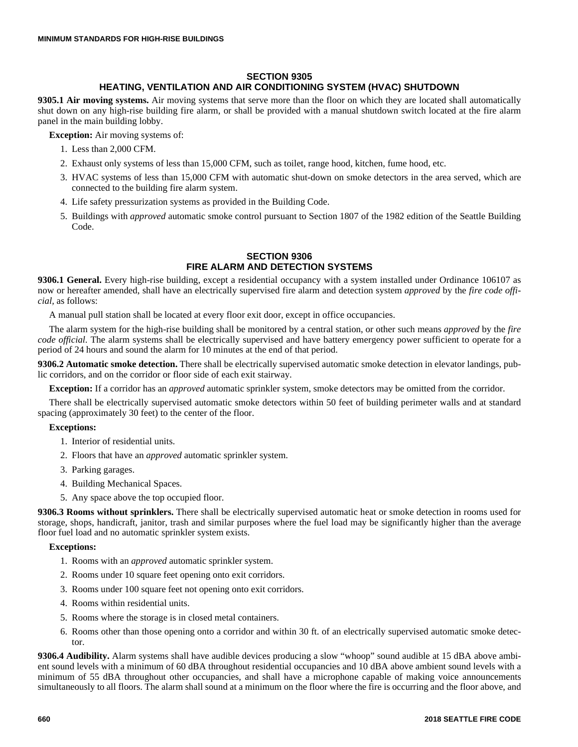## **SECTION 9305**

## **HEATING, VENTILATION AND AIR CONDITIONING SYSTEM (HVAC) SHUTDOWN**

**9305.1 Air moving systems.** Air moving systems that serve more than the floor on which they are located shall automatically shut down on any high-rise building fire alarm, or shall be provided with a manual shutdown switch located at the fire alarm panel in the main building lobby.

**Exception:** Air moving systems of:

- 1. Less than 2,000 CFM.
- 2. Exhaust only systems of less than 15,000 CFM, such as toilet, range hood, kitchen, fume hood, etc.
- 3. HVAC systems of less than 15,000 CFM with automatic shut-down on smoke detectors in the area served, which are connected to the building fire alarm system.
- 4. Life safety pressurization systems as provided in the Building Code.
- 5. Buildings with *approved* automatic smoke control pursuant to Section 1807 of the 1982 edition of the Seattle Building Code.

## **SECTION 9306 FIRE ALARM AND DETECTION SYSTEMS**

**9306.1 General.** Every high-rise building, except a residential occupancy with a system installed under Ordinance 106107 as now or hereafter amended, shall have an electrically supervised fire alarm and detection system *approved* by the *fire code official,* as follows:

A manual pull station shall be located at every floor exit door, except in office occupancies.

The alarm system for the high-rise building shall be monitored by a central station, or other such means *approved* by the *fire code official.* The alarm systems shall be electrically supervised and have battery emergency power sufficient to operate for a period of 24 hours and sound the alarm for 10 minutes at the end of that period.

**9306.2 Automatic smoke detection.** There shall be electrically supervised automatic smoke detection in elevator landings, public corridors, and on the corridor or floor side of each exit stairway.

**Exception:** If a corridor has an *approved* automatic sprinkler system, smoke detectors may be omitted from the corridor.

There shall be electrically supervised automatic smoke detectors within 50 feet of building perimeter walls and at standard spacing (approximately 30 feet) to the center of the floor.

#### **Exceptions:**

- 1. Interior of residential units.
- 2. Floors that have an *approved* automatic sprinkler system.
- 3. Parking garages.
- 4. Building Mechanical Spaces.
- 5. Any space above the top occupied floor.

**9306.3 Rooms without sprinklers.** There shall be electrically supervised automatic heat or smoke detection in rooms used for storage, shops, handicraft, janitor, trash and similar purposes where the fuel load may be significantly higher than the average floor fuel load and no automatic sprinkler system exists.

#### **Exceptions:**

- 1. Rooms with an *approved* automatic sprinkler system.
- 2. Rooms under 10 square feet opening onto exit corridors.
- 3. Rooms under 100 square feet not opening onto exit corridors.
- 4. Rooms within residential units.
- 5. Rooms where the storage is in closed metal containers.
- 6. Rooms other than those opening onto a corridor and within 30 ft. of an electrically supervised automatic smoke detector.

**9306.4 Audibility.** Alarm systems shall have audible devices producing a slow "whoop" sound audible at 15 dBA above ambient sound levels with a minimum of 60 dBA throughout residential occupancies and 10 dBA above ambient sound levels with a minimum of 55 dBA throughout other occupancies, and shall have a microphone capable of making voice announcements simultaneously to all floors. The alarm shall sound at a minimum on the floor where the fire is occurring and the floor above, and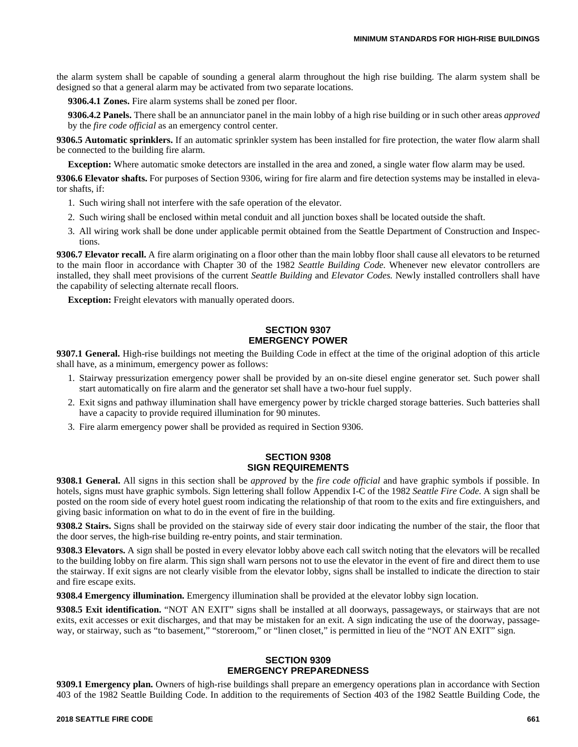the alarm system shall be capable of sounding a general alarm throughout the high rise building. The alarm system shall be designed so that a general alarm may be activated from two separate locations.

**9306.4.1 Zones.** Fire alarm systems shall be zoned per floor.

**9306.4.2 Panels.** There shall be an annunciator panel in the main lobby of a high rise building or in such other areas *approved* by the *fire code official* as an emergency control center.

**9306.5 Automatic sprinklers.** If an automatic sprinkler system has been installed for fire protection, the water flow alarm shall be connected to the building fire alarm.

**Exception:** Where automatic smoke detectors are installed in the area and zoned, a single water flow alarm may be used.

**9306.6 Elevator shafts.** For purposes of Section 9306, wiring for fire alarm and fire detection systems may be installed in elevator shafts, if:

- 1. Such wiring shall not interfere with the safe operation of the elevator.
- 2. Such wiring shall be enclosed within metal conduit and all junction boxes shall be located outside the shaft.
- 3. All wiring work shall be done under applicable permit obtained from the Seattle Department of Construction and Inspections.

**9306.7 Elevator recall.** A fire alarm originating on a floor other than the main lobby floor shall cause all elevators to be returned to the main floor in accordance with Chapter 30 of the 1982 *Seattle Building Code.* Whenever new elevator controllers are installed, they shall meet provisions of the current *Seattle Building* and *Elevator Codes.* Newly installed controllers shall have the capability of selecting alternate recall floors.

**Exception:** Freight elevators with manually operated doors.

## **SECTION 9307 EMERGENCY POWER**

**9307.1 General.** High-rise buildings not meeting the Building Code in effect at the time of the original adoption of this article shall have, as a minimum, emergency power as follows:

- 1. Stairway pressurization emergency power shall be provided by an on-site diesel engine generator set. Such power shall start automatically on fire alarm and the generator set shall have a two-hour fuel supply.
- 2. Exit signs and pathway illumination shall have emergency power by trickle charged storage batteries. Such batteries shall have a capacity to provide required illumination for 90 minutes.
- 3. Fire alarm emergency power shall be provided as required in Section 9306.

#### **SECTION 9308 SIGN REQUIREMENTS**

**9308.1 General.** All signs in this section shall be *approved* by the *fire code official* and have graphic symbols if possible. In hotels, signs must have graphic symbols. Sign lettering shall follow Appendix I-C of the 1982 *Seattle Fire Code.* A sign shall be posted on the room side of every hotel guest room indicating the relationship of that room to the exits and fire extinguishers, and giving basic information on what to do in the event of fire in the building.

**9308.2 Stairs.** Signs shall be provided on the stairway side of every stair door indicating the number of the stair, the floor that the door serves, the high-rise building re-entry points, and stair termination.

**9308.3 Elevators.** A sign shall be posted in every elevator lobby above each call switch noting that the elevators will be recalled to the building lobby on fire alarm. This sign shall warn persons not to use the elevator in the event of fire and direct them to use the stairway. If exit signs are not clearly visible from the elevator lobby, signs shall be installed to indicate the direction to stair and fire escape exits.

**9308.4 Emergency illumination.** Emergency illumination shall be provided at the elevator lobby sign location.

**9308.5 Exit identification.** "NOT AN EXIT" signs shall be installed at all doorways, passageways, or stairways that are not exits, exit accesses or exit discharges, and that may be mistaken for an exit. A sign indicating the use of the doorway, passageway, or stairway, such as "to basement," "storeroom," or "linen closet," is permitted in lieu of the "NOT AN EXIT" sign.

#### **SECTION 9309 EMERGENCY PREPAREDNESS**

**9309.1 Emergency plan.** Owners of high-rise buildings shall prepare an emergency operations plan in accordance with Section 403 of the 1982 Seattle Building Code. In addition to the requirements of Section 403 of the 1982 Seattle Building Code, the